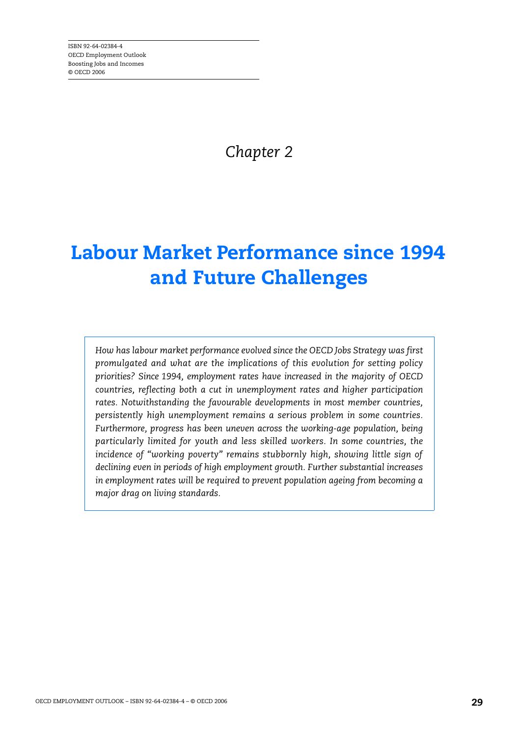*Chapter 2* 

# **Labour Market Performance since 1994 and Future Challenges**

*How has labour market performance evolved since the OECD Jobs Strategy was first promulgated and what are the implications of this evolution for setting policy priorities? Since 1994, employment rates have increased in the majority of OECD countries, reflecting both a cut in unemployment rates and higher participation rates. Notwithstanding the favourable developments in most member countries, persistently high unemployment remains a serious problem in some countries. Furthermore, progress has been uneven across the working-age population, being particularly limited for youth and less skilled workers. In some countries, the incidence of "working poverty" remains stubbornly high, showing little sign of declining even in periods of high employment growth. Further substantial increases in employment rates will be required to prevent population ageing from becoming a major drag on living standards.*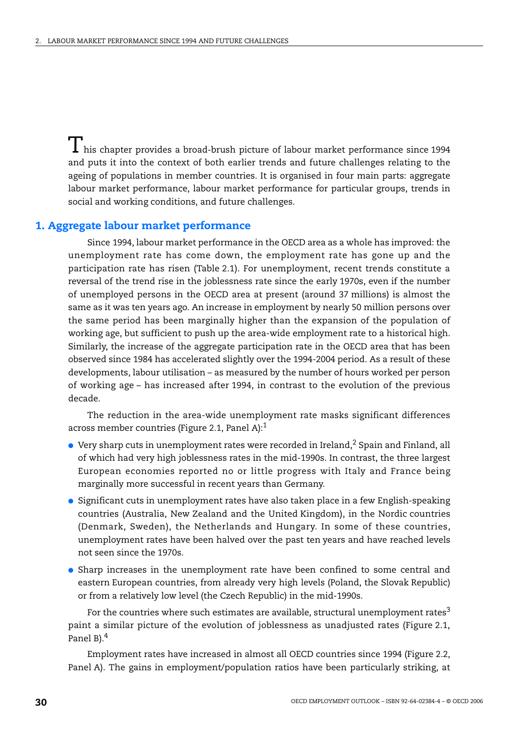$\perp$  his chapter provides a broad-brush picture of labour market performance since 1994 and puts it into the context of both earlier trends and future challenges relating to the ageing of populations in member countries. It is organised in four main parts: aggregate labour market performance, labour market performance for particular groups, trends in social and working conditions, and future challenges.

### **1. Aggregate labour market performance**

Since 1994, labour market performance in the OECD area as a whole has improved: the unemployment rate has come down, the employment rate has gone up and the participation rate has risen (Table 2.1). For unemployment, recent trends constitute a reversal of the trend rise in the joblessness rate since the early 1970s, even if the number of unemployed persons in the OECD area at present (around 37 millions) is almost the same as it was ten years ago. An increase in employment by nearly 50 million persons over the same period has been marginally higher than the expansion of the population of working age, but sufficient to push up the area-wide employment rate to a historical high. Similarly, the increase of the aggregate participation rate in the OECD area that has been observed since 1984 has accelerated slightly over the 1994-2004 period. As a result of these developments, labour utilisation – as measured by the number of hours worked per person of working age – has increased after 1994, in contrast to the evolution of the previous decade.

The reduction in the area-wide unemployment rate masks significant differences across member countries (Figure 2.1, Panel A):1

- $\bullet$  Very sharp cuts in unemployment rates were recorded in Ireland,<sup>2</sup> Spain and Finland, all of which had very high joblessness rates in the mid-1990s. In contrast, the three largest European economies reported no or little progress with Italy and France being marginally more successful in recent years than Germany.
- Significant cuts in unemployment rates have also taken place in a few English-speaking countries (Australia, New Zealand and the United Kingdom), in the Nordic countries (Denmark, Sweden), the Netherlands and Hungary. In some of these countries, unemployment rates have been halved over the past ten years and have reached levels not seen since the 1970s.
- Sharp increases in the unemployment rate have been confined to some central and eastern European countries, from already very high levels (Poland, the Slovak Republic) or from a relatively low level (the Czech Republic) in the mid-1990s.

For the countries where such estimates are available, structural unemployment rates $3$ paint a similar picture of the evolution of joblessness as unadjusted rates (Figure 2.1, Panel B).<sup>4</sup>

Employment rates have increased in almost all OECD countries since 1994 (Figure 2.2, Panel A). The gains in employment/population ratios have been particularly striking, at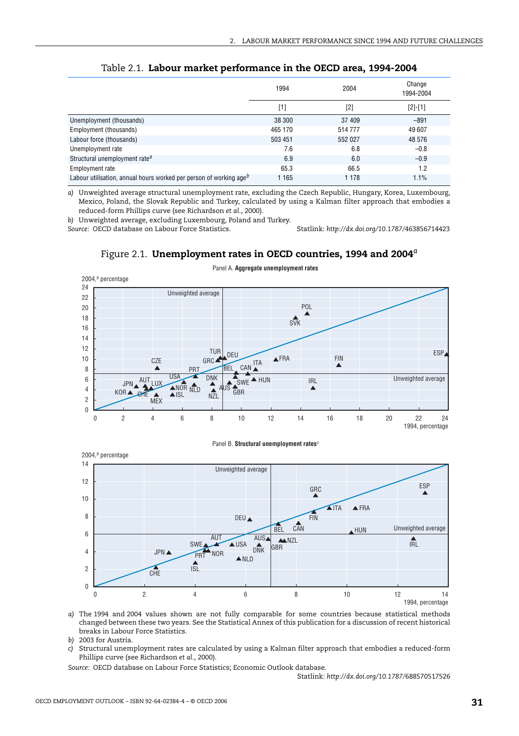|                                                                         | 1994    | 2004    | Change<br>1994-2004 |
|-------------------------------------------------------------------------|---------|---------|---------------------|
|                                                                         | [1]     | [2]     | $[2]-[1]$           |
| Unemployment (thousands)                                                | 38 300  | 37 409  | $-891$              |
| Employment (thousands)                                                  | 465 170 | 514777  | 49 607              |
| Labour force (thousands)                                                | 503 451 | 552 027 | 48 576              |
| Unemployment rate                                                       | 7.6     | 6.8     | $-0.8$              |
| Structural unemployment rate <sup>a</sup>                               | 6.9     | 6.0     | $-0.9$              |
| Employment rate                                                         | 65.3    | 66.5    | 1.2                 |
| Labour utilisation, annual hours worked per person of working $a q e^b$ | 1 1 6 5 | 1 1 7 8 | 1.1%                |

Table 2.1. **Labour market performance in the OECD area, 1994-2004**

*a)* Unweighted average structural unemployment rate, excluding the Czech Republic, Hungary, Korea, Luxembourg, Mexico, Poland, the Slovak Republic and Turkey, calculated by using a Kalman filter approach that embodies a reduced-form Phillips curve (see Richardson *et al.*, 2000).

*b)* Unweighted average, excluding Luxembourg, Poland and Turkey.

*Source:* OECD database on Labour Force Statistics. Statlink: *http://dx.doi.org/10.1787/*463856714423





Panel A. **Aggregate unemployment rates**

Panel B. **Structural unemployment rates***c*



*a)* The 1994 and 2004 values shown are not fully comparable for some countries because statistical methods changed between these two years. See the Statistical Annex of this publication for a discussion of recent historical breaks in Labour Force Statistics.

*b)* 2003 for Austria.

*c)* Structural unemployment rates are calculated by using a Kalman filter approach that embodies a reduced-form Phillips curve (see Richardson *et al.*, 2000).

*Source:* OECD database on Labour Force Statistics; Economic Outlook database.

Statlink: *http://dx.doi.org/10.1787/*688570517526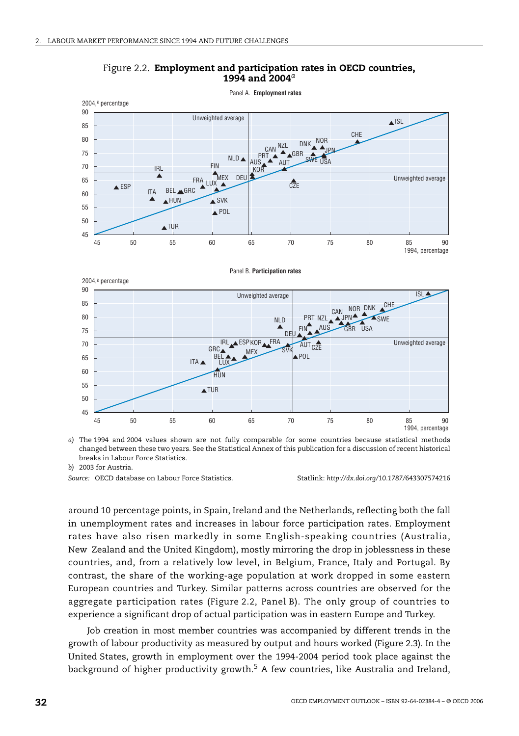

Figure 2.2. **Employment and participation rates in OECD countries, 1994 and 2004***<sup>a</sup>*

*a)* The 1994 and 2004 values shown are not fully comparable for some countries because statistical methods changed between these two years. See the Statistical Annex of this publication for a discussion of recent historical breaks in Labour Force Statistics.

*b)* 2003 for Austria.

*Source:* OECD database on Labour Force Statistics. Statlink: *http://dx.doi.org/10.1787/*643307574216

around 10 percentage points, in Spain, Ireland and the Netherlands, reflecting both the fall in unemployment rates and increases in labour force participation rates. Employment rates have also risen markedly in some English-speaking countries (Australia, New Zealand and the United Kingdom), mostly mirroring the drop in joblessness in these countries, and, from a relatively low level, in Belgium, France, Italy and Portugal. By contrast, the share of the working-age population at work dropped in some eastern European countries and Turkey. Similar patterns across countries are observed for the aggregate participation rates (Figure 2.2, Panel B). The only group of countries to experience a significant drop of actual participation was in eastern Europe and Turkey.

Job creation in most member countries was accompanied by different trends in the growth of labour productivity as measured by output and hours worked (Figure 2.3). In the United States, growth in employment over the 1994-2004 period took place against the background of higher productivity growth.<sup>5</sup> A few countries, like Australia and Ireland,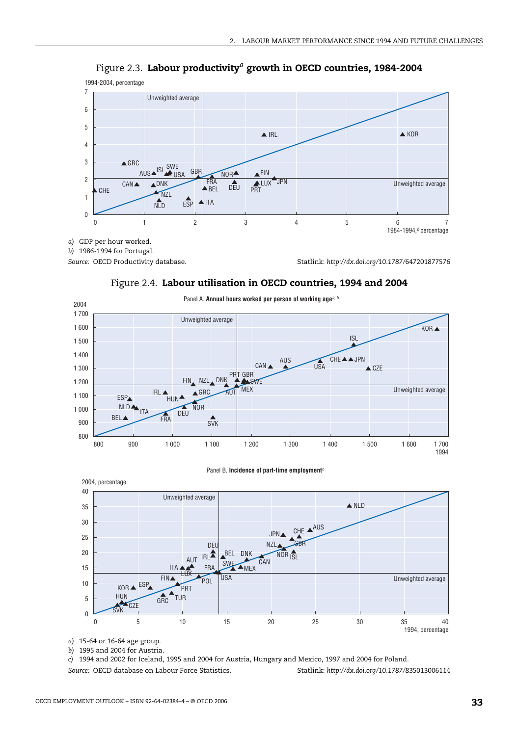

Figure 2.3. **Labour productivity***a* **growth in OECD countries, 1984-2004**

Panel A. **Annual hours worked per person of working age***a, b* 2004 1 700 Unweighted average 1 600 KOR ▲ ISL 1 500 1 400 AUS CHE▲▲JPN USA  $\overline{CAN}$   $\overline{MSA}$   $\overline{USA}$   $\overline{CZE}$ 1 300 GBR **FIN** NZL DNK PRT NZL 1 200 SWE **MEX** Unweighted average **IRL** ▲  $\triangle$ GRC AUT 1 100 ESP HUN<sup>A</sup> **NLDA** NOR 1 000 DEU ITA 7 BEL FRA  $\frac{2}{\text{S}}$ 900 800 800 900 1 000 1 100 1 200 1 300 1 400 1 500 1 600 1 700 1994

Figure 2.4. **Labour utilisation in OECD countries, 1994 and 2004**



*a)* 15-64 or 16-64 age group.

*b)* 1995 and 2004 for Austria.

*c)* 1994 and 2002 for Iceland, 1995 and 2004 for Austria, Hungary and Mexico, 1997 and 2004 for Poland.

*Source:* OECD database on Labour Force Statistics. Statlink: *http://dx.doi.org/10.1787/*835013006114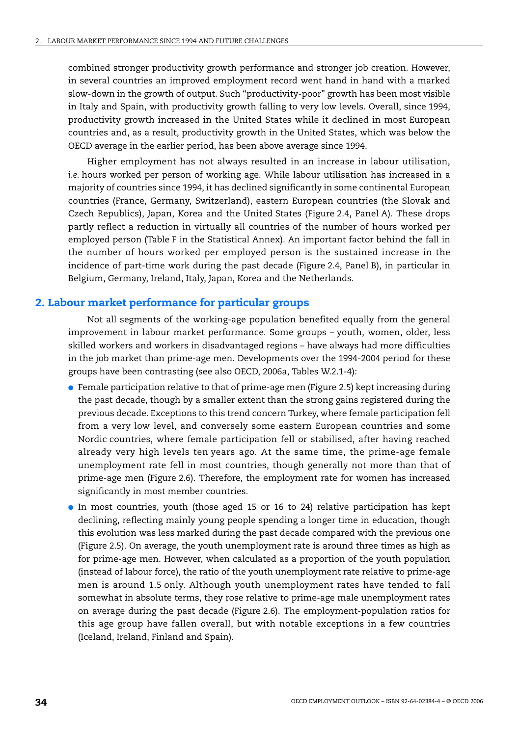combined stronger productivity growth performance and stronger job creation. However, in several countries an improved employment record went hand in hand with a marked slow-down in the growth of output. Such "productivity-poor" growth has been most visible in Italy and Spain, with productivity growth falling to very low levels. Overall, since 1994, productivity growth increased in the United States while it declined in most European countries and, as a result, productivity growth in the United States, which was below the OECD average in the earlier period, has been above average since 1994.

Higher employment has not always resulted in an increase in labour utilisation, *i.e.* hours worked per person of working age. While labour utilisation has increased in a majority of countries since 1994, it has declined significantly in some continental European countries (France, Germany, Switzerland), eastern European countries (the Slovak and Czech Republics), Japan, Korea and the United States (Figure 2.4, Panel A). These drops partly reflect a reduction in virtually all countries of the number of hours worked per employed person (Table F in the Statistical Annex). An important factor behind the fall in the number of hours worked per employed person is the sustained increase in the incidence of part-time work during the past decade (Figure 2.4, Panel B), in particular in Belgium, Germany, Ireland, Italy, Japan, Korea and the Netherlands.

## **2. Labour market performance for particular groups**

Not all segments of the working-age population benefited equally from the general improvement in labour market performance. Some groups – youth, women, older, less skilled workers and workers in disadvantaged regions – have always had more difficulties in the job market than prime-age men. Developments over the 1994-2004 period for these groups have been contrasting (see also OECD, 2006a, Tables W.2.1-4):

- Female participation relative to that of prime-age men (Figure 2.5) kept increasing during the past decade, though by a smaller extent than the strong gains registered during the previous decade. Exceptions to this trend concern Turkey, where female participation fell from a very low level, and conversely some eastern European countries and some Nordic countries, where female participation fell or stabilised, after having reached already very high levels ten years ago. At the same time, the prime-age female unemployment rate fell in most countries, though generally not more than that of prime-age men (Figure 2.6). Therefore, the employment rate for women has increased significantly in most member countries.
- In most countries, youth (those aged 15 or 16 to 24) relative participation has kept declining, reflecting mainly young people spending a longer time in education, though this evolution was less marked during the past decade compared with the previous one (Figure 2.5). On average, the youth unemployment rate is around three times as high as for prime-age men. However, when calculated as a proportion of the youth population (instead of labour force), the ratio of the youth unemployment rate relative to prime-age men is around 1.5 only. Although youth unemployment rates have tended to fall somewhat in absolute terms, they rose relative to prime-age male unemployment rates on average during the past decade (Figure 2.6). The employment-population ratios for this age group have fallen overall, but with notable exceptions in a few countries (Iceland, Ireland, Finland and Spain).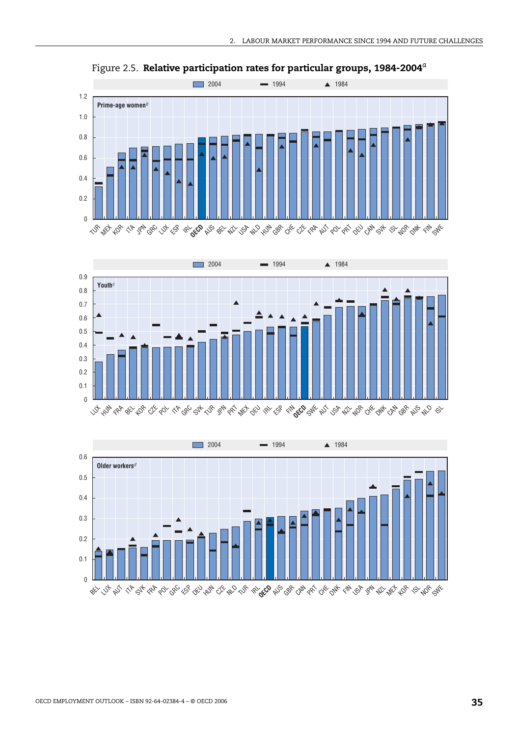

Figure 2.5. **Relative participation rates for particular groups, 1984-2004***<sup>a</sup>*



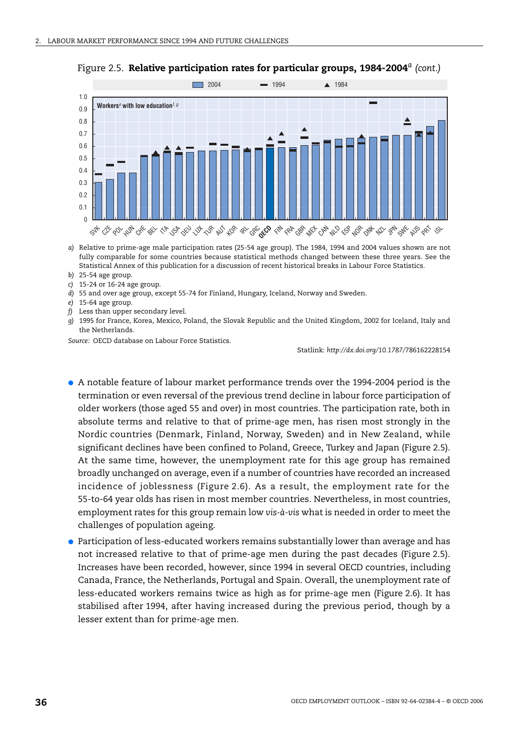

Figure 2.5. **Relative participation rates for particular groups, 1984-2004***<sup>a</sup> (cont.)*

- *a)* Relative to prime-age male participation rates (25-54 age group). The 1984, 1994 and 2004 values shown are not fully comparable for some countries because statistical methods changed between these three years. See the Statistical Annex of this publication for a discussion of recent historical breaks in Labour Force Statistics.
- *b)* 25-54 age group.
- *c)* 15-24 or 16-24 age group.
- *d)* 55 and over age group, except 55-74 for Finland, Hungary, Iceland, Norway and Sweden.
- *e)* 15-64 age group.
- *f)* Less than upper secondary level.
- *g)* 1995 for France, Korea, Mexico, Poland, the Slovak Republic and the United Kingdom, 2002 for Iceland, Italy and the Netherlands.

*Source:* OECD database on Labour Force Statistics.

Statlink: *http://dx.doi.org/10.1787/*786162228154

- A notable feature of labour market performance trends over the 1994-2004 period is the termination or even reversal of the previous trend decline in labour force participation of older workers (those aged 55 and over) in most countries. The participation rate, both in absolute terms and relative to that of prime-age men, has risen most strongly in the Nordic countries (Denmark, Finland, Norway, Sweden) and in New Zealand, while significant declines have been confined to Poland, Greece, Turkey and Japan (Figure 2.5). At the same time, however, the unemployment rate for this age group has remained broadly unchanged on average, even if a number of countries have recorded an increased incidence of joblessness (Figure 2.6). As a result, the employment rate for the 55-to-64 year olds has risen in most member countries. Nevertheless, in most countries, employment rates for this group remain low *vis-à-vis* what is needed in order to meet the challenges of population ageing.
- Participation of less-educated workers remains substantially lower than average and has not increased relative to that of prime-age men during the past decades (Figure 2.5). Increases have been recorded, however, since 1994 in several OECD countries, including Canada, France, the Netherlands, Portugal and Spain. Overall, the unemployment rate of less-educated workers remains twice as high as for prime-age men (Figure 2.6). It has stabilised after 1994, after having increased during the previous period, though by a lesser extent than for prime-age men.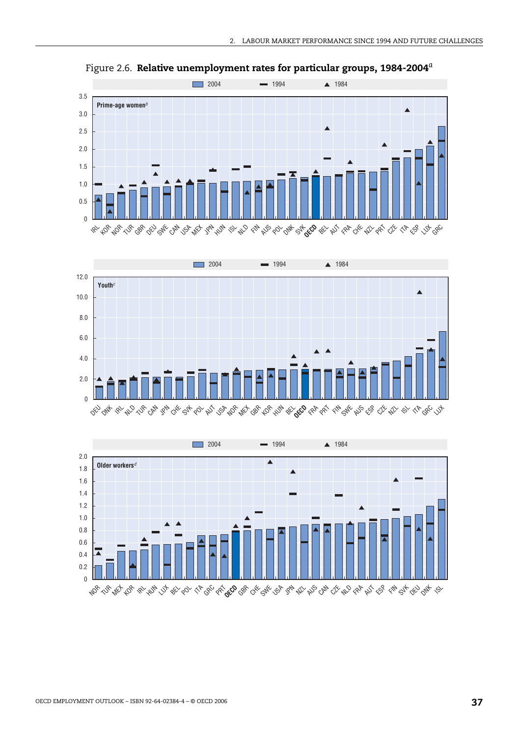

Figure 2.6. **Relative unemployment rates for particular groups, 1984-2004***<sup>a</sup>*



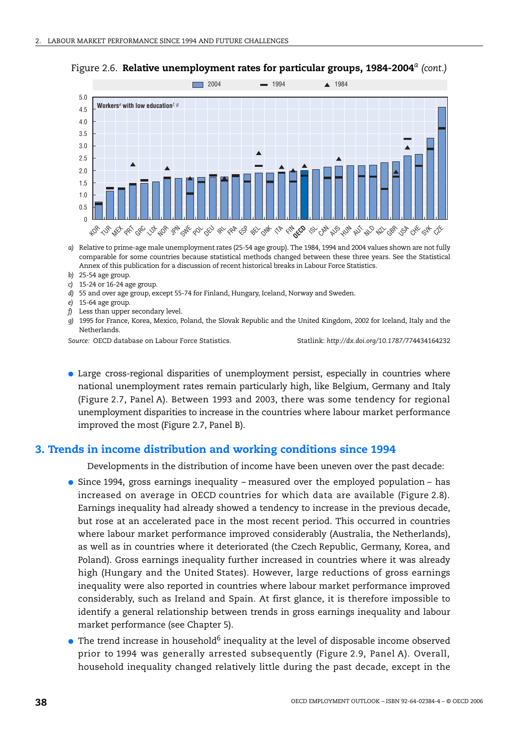

Figure 2.6. **Relative unemployment rates for particular groups, 1984-2004***<sup>a</sup> (cont.)*

- *a)* Relative to prime-age male unemployment rates (25-54 age group). The 1984, 1994 and 2004 values shown are not fully comparable for some countries because statistical methods changed between these three years. See the Statistical Annex of this publication for a discussion of recent historical breaks in Labour Force Statistics.
- *b)* 25-54 age group.
- *c)* 15-24 or 16-24 age group.
- *d)* 55 and over age group, except 55-74 for Finland, Hungary, Iceland, Norway and Sweden.
- *e)* 15-64 age group.
- *f)* Less than upper secondary level.
- *g)* 1995 for France, Korea, Mexico, Poland, the Slovak Republic and the United Kingdom, 2002 for Iceland, Italy and the Netherlands.

*Source:* OECD database on Labour Force Statistics. Statlink: *http://dx.doi.org/10.1787/*774434164232

● Large cross-regional disparities of unemployment persist, especially in countries where national unemployment rates remain particularly high, like Belgium, Germany and Italy (Figure 2.7, Panel A). Between 1993 and 2003, there was some tendency for regional unemployment disparities to increase in the countries where labour market performance improved the most (Figure 2.7, Panel B).

#### **3. Trends in income distribution and working conditions since 1994**

Developments in the distribution of income have been uneven over the past decade:

- Since 1994, gross earnings inequality measured over the employed population has increased on average in OECD countries for which data are available (Figure 2.8). Earnings inequality had already showed a tendency to increase in the previous decade, but rose at an accelerated pace in the most recent period. This occurred in countries where labour market performance improved considerably (Australia, the Netherlands), as well as in countries where it deteriorated (the Czech Republic, Germany, Korea, and Poland). Gross earnings inequality further increased in countries where it was already high (Hungary and the United States). However, large reductions of gross earnings inequality were also reported in countries where labour market performance improved considerably, such as Ireland and Spain. At first glance, it is therefore impossible to identify a general relationship between trends in gross earnings inequality and labour market performance (see Chapter 5).
- $\bullet$  The trend increase in household<sup>6</sup> inequality at the level of disposable income observed prior to 1994 was generally arrested subsequently (Figure 2.9, Panel A). Overall, household inequality changed relatively little during the past decade, except in the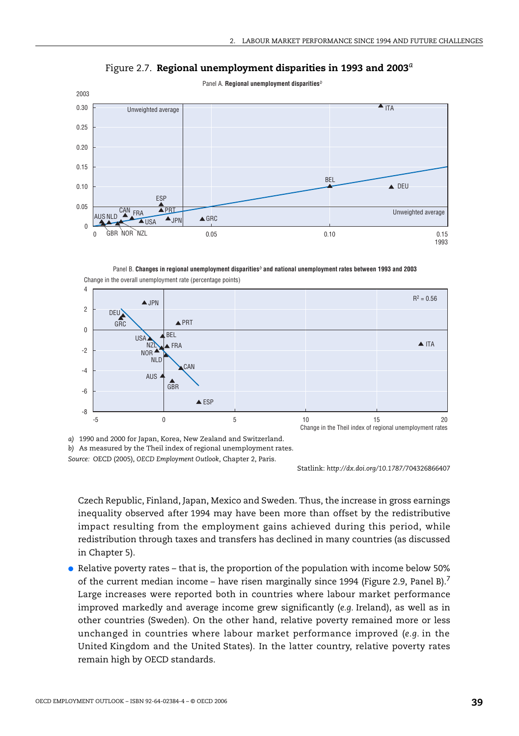

Figure 2.7. **Regional unemployment disparities in 1993 and 2003***<sup>a</sup>*

Change in the overall unemployment rate (percentage points) Panel B. **Changes in regional unemployment disparities***b* **and national unemployment rates between 1993 and 2003**



*a)* 1990 and 2000 for Japan, Korea, New Zealand and Switzerland.

*Source:* OECD (2005), *OECD Employment Outlook*, Chapter 2, Paris.

Statlink: *http://dx.doi.org/10.1787/*704326866407

Czech Republic, Finland, Japan, Mexico and Sweden. Thus, the increase in gross earnings inequality observed after 1994 may have been more than offset by the redistributive impact resulting from the employment gains achieved during this period, while redistribution through taxes and transfers has declined in many countries (as discussed in Chapter 5).

● Relative poverty rates – that is, the proportion of the population with income below 50% of the current median income – have risen marginally since 1994 (Figure 2.9, Panel B).<sup>7</sup> Large increases were reported both in countries where labour market performance improved markedly and average income grew significantly (*e.g.* Ireland), as well as in other countries (Sweden). On the other hand, relative poverty remained more or less unchanged in countries where labour market performance improved (*e.g.* in the United Kingdom and the United States). In the latter country, relative poverty rates remain high by OECD standards.

*b)* As measured by the Theil index of regional unemployment rates.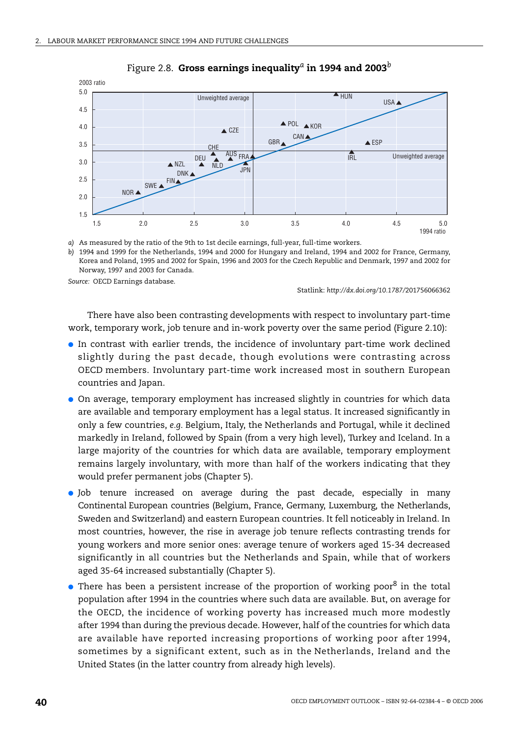

#### Figure 2.8. **Gross earnings inequality***a* **in 1994 and 2003***<sup>b</sup>*

*a)* As measured by the ratio of the 9th to 1st decile earnings, full-year, full-time workers.

*b)* 1994 and 1999 for the Netherlands, 1994 and 2000 for Hungary and Ireland, 1994 and 2002 for France, Germany, Korea and Poland, 1995 and 2002 for Spain, 1996 and 2003 for the Czech Republic and Denmark, 1997 and 2002 for Norway, 1997 and 2003 for Canada.

*Source:* OECD Earnings database.

Statlink: *http://dx.doi.org/10.1787/*201756066362

There have also been contrasting developments with respect to involuntary part-time work, temporary work, job tenure and in-work poverty over the same period (Figure 2.10):

- In contrast with earlier trends, the incidence of involuntary part-time work declined slightly during the past decade, though evolutions were contrasting across OECD members. Involuntary part-time work increased most in southern European countries and Japan.
- On average, temporary employment has increased slightly in countries for which data are available and temporary employment has a legal status. It increased significantly in only a few countries, *e.g.* Belgium, Italy, the Netherlands and Portugal, while it declined markedly in Ireland, followed by Spain (from a very high level), Turkey and Iceland. In a large majority of the countries for which data are available, temporary employment remains largely involuntary, with more than half of the workers indicating that they would prefer permanent jobs (Chapter 5).
- Job tenure increased on average during the past decade, especially in many Continental European countries (Belgium, France, Germany, Luxemburg, the Netherlands, Sweden and Switzerland) and eastern European countries. It fell noticeably in Ireland. In most countries, however, the rise in average job tenure reflects contrasting trends for young workers and more senior ones: average tenure of workers aged 15-34 decreased significantly in all countries but the Netherlands and Spain, while that of workers aged 35-64 increased substantially (Chapter 5).
- $\bullet$  There has been a persistent increase of the proportion of working poor<sup>8</sup> in the total population after 1994 in the countries where such data are available. But, on average for the OECD, the incidence of working poverty has increased much more modestly after 1994 than during the previous decade. However, half of the countries for which data are available have reported increasing proportions of working poor after 1994, sometimes by a significant extent, such as in the Netherlands, Ireland and the United States (in the latter country from already high levels).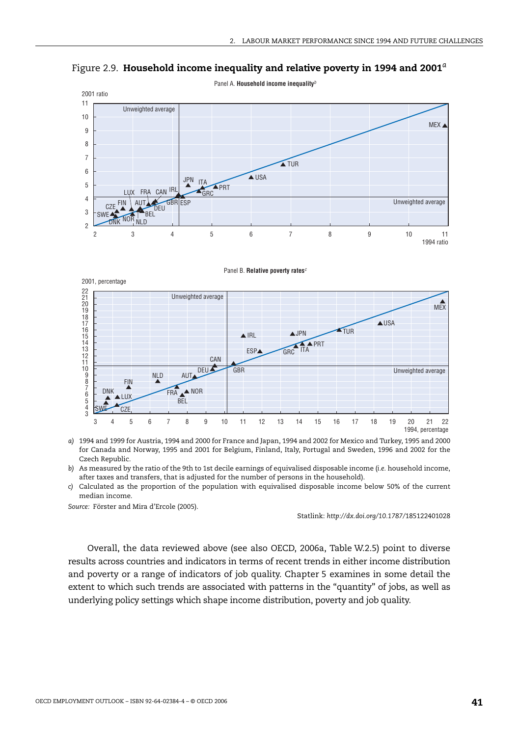

Figure 2.9. **Household income inequality and relative poverty in 1994 and 2001***<sup>a</sup>*

Panel B. **Relative poverty rates***c*



- *a)* 1994 and 1999 for Austria, 1994 and 2000 for France and Japan, 1994 and 2002 for Mexico and Turkey, 1995 and 2000 for Canada and Norway, 1995 and 2001 for Belgium, Finland, Italy, Portugal and Sweden, 1996 and 2002 for the Czech Republic.
- *b)* As measured by the ratio of the 9th to 1st decile earnings of equivalised disposable income (*i.e.* household income, after taxes and transfers, that is adjusted for the number of persons in the household).
- *c)* Calculated as the proportion of the population with equivalised disposable income below 50% of the current median income.

*Source:* Förster and Mira d'Ercole (2005).

Statlink: *http://dx.doi.org/10.1787/*185122401028

Overall, the data reviewed above (see also OECD, 2006a, Table W.2.5) point to diverse results across countries and indicators in terms of recent trends in either income distribution and poverty or a range of indicators of job quality. Chapter 5 examines in some detail the extent to which such trends are associated with patterns in the "quantity" of jobs, as well as underlying policy settings which shape income distribution, poverty and job quality.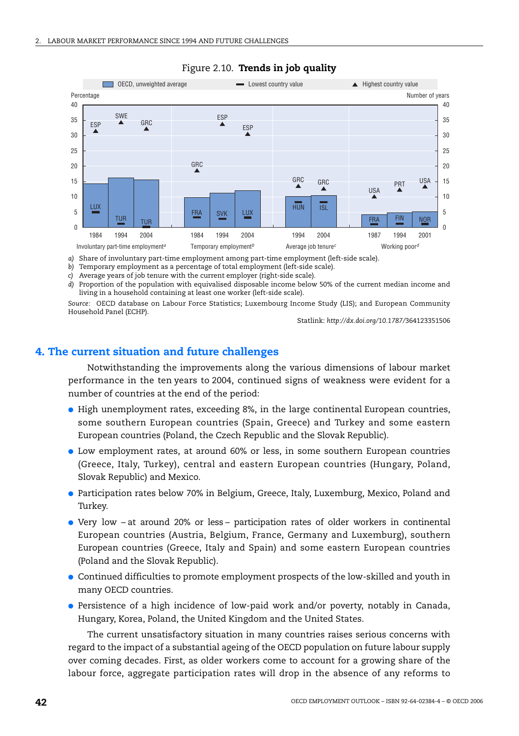

#### Figure 2.10. **Trends in job quality**

*a)* Share of involuntary part-time employment among part-time employment (left-side scale).

*b)* Temporary employment as a percentage of total employment (left-side scale).

*c)* Average years of job tenure with the current employer (right-side scale).

*d)* Proportion of the population with equivalised disposable income below 50% of the current median income and living in a household containing at least one worker (left-side scale).

*Source:* OECD database on Labour Force Statistics; Luxembourg Income Study (LIS); and European Community Household Panel (ECHP).

Statlink: *http://dx.doi.org/10.1787/*364123351506

## **4. The current situation and future challenges**

Notwithstanding the improvements along the various dimensions of labour market performance in the ten years to 2004, continued signs of weakness were evident for a number of countries at the end of the period:

- High unemployment rates, exceeding 8%, in the large continental European countries, some southern European countries (Spain, Greece) and Turkey and some eastern European countries (Poland, the Czech Republic and the Slovak Republic).
- Low employment rates, at around 60% or less, in some southern European countries (Greece, Italy, Turkey), central and eastern European countries (Hungary, Poland, Slovak Republic) and Mexico.
- Participation rates below 70% in Belgium, Greece, Italy, Luxemburg, Mexico, Poland and Turkey.
- Very low at around 20% or less participation rates of older workers in continental European countries (Austria, Belgium, France, Germany and Luxemburg), southern European countries (Greece, Italy and Spain) and some eastern European countries (Poland and the Slovak Republic).
- Continued difficulties to promote employment prospects of the low-skilled and youth in many OECD countries.
- Persistence of a high incidence of low-paid work and/or poverty, notably in Canada, Hungary, Korea, Poland, the United Kingdom and the United States.

The current unsatisfactory situation in many countries raises serious concerns with regard to the impact of a substantial ageing of the OECD population on future labour supply over coming decades. First, as older workers come to account for a growing share of the labour force, aggregate participation rates will drop in the absence of any reforms to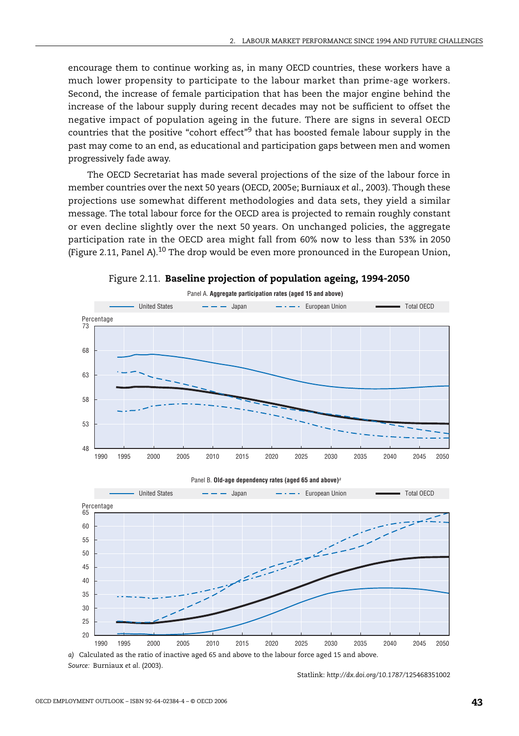encourage them to continue working as, in many OECD countries, these workers have a much lower propensity to participate to the labour market than prime-age workers. Second, the increase of female participation that has been the major engine behind the increase of the labour supply during recent decades may not be sufficient to offset the negative impact of population ageing in the future. There are signs in several OECD countries that the positive "cohort effect"9 that has boosted female labour supply in the past may come to an end, as educational and participation gaps between men and women progressively fade away.

The OECD Secretariat has made several projections of the size of the labour force in member countries over the next 50 years (OECD, 2005e; Burniaux *et al*., 2003). Though these projections use somewhat different methodologies and data sets, they yield a similar message. The total labour force for the OECD area is projected to remain roughly constant or even decline slightly over the next 50 years. On unchanged policies, the aggregate participation rate in the OECD area might fall from 60% now to less than 53% in 2050 (Figure 2.11, Panel A).<sup>10</sup> The drop would be even more pronounced in the European Union,









*Source:* Burniaux *et al.* (2003).

Statlink: *http://dx.doi.org/10.1787/*125468351002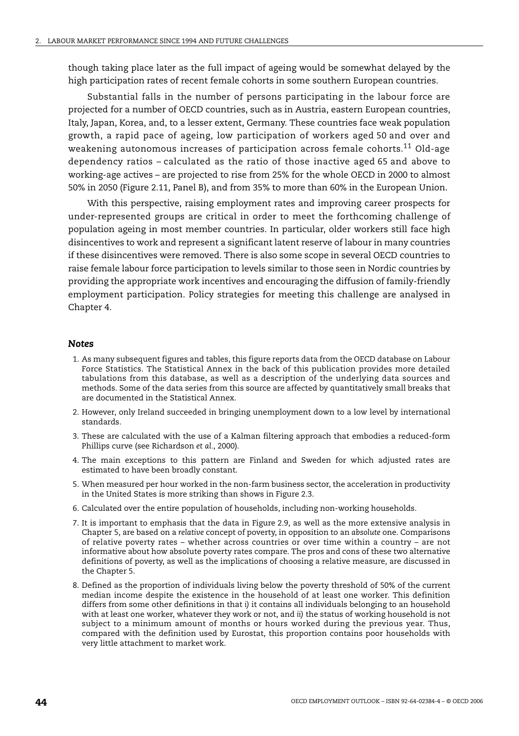though taking place later as the full impact of ageing would be somewhat delayed by the high participation rates of recent female cohorts in some southern European countries.

Substantial falls in the number of persons participating in the labour force are projected for a number of OECD countries, such as in Austria, eastern European countries, Italy, Japan, Korea, and, to a lesser extent, Germany. These countries face weak population growth, a rapid pace of ageing, low participation of workers aged 50 and over and weakening autonomous increases of participation across female cohorts.<sup>11</sup> Old-age dependency ratios – calculated as the ratio of those inactive aged 65 and above to working-age actives – are projected to rise from 25% for the whole OECD in 2000 to almost 50% in 2050 (Figure 2.11, Panel B), and from 35% to more than 60% in the European Union.

With this perspective, raising employment rates and improving career prospects for under-represented groups are critical in order to meet the forthcoming challenge of population ageing in most member countries. In particular, older workers still face high disincentives to work and represent a significant latent reserve of labour in many countries if these disincentives were removed. There is also some scope in several OECD countries to raise female labour force participation to levels similar to those seen in Nordic countries by providing the appropriate work incentives and encouraging the diffusion of family-friendly employment participation. Policy strategies for meeting this challenge are analysed in Chapter 4.

#### *Notes*

- 1. As many subsequent figures and tables, this figure reports data from the OECD database on Labour Force Statistics. The Statistical Annex in the back of this publication provides more detailed tabulations from this database, as well as a description of the underlying data sources and methods. Some of the data series from this source are affected by quantitatively small breaks that are documented in the Statistical Annex.
- 2. However, only Ireland succeeded in bringing unemployment down to a low level by international standards.
- 3. These are calculated with the use of a Kalman filtering approach that embodies a reduced-form Phillips curve (see Richardson *et al.*, 2000).
- 4. The main exceptions to this pattern are Finland and Sweden for which adjusted rates are estimated to have been broadly constant.
- 5. When measured per hour worked in the non-farm business sector, the acceleration in productivity in the United States is more striking than shows in Figure 2.3.
- 6. Calculated over the entire population of households, including non-working households.
- 7. It is important to emphasis that the data in Figure 2.9, as well as the more extensive analysis in Chapter 5, are based on a *relative* concept of poverty, in opposition to an *absolute* one. Comparisons of relative poverty rates – whether across countries or over time within a country – are not informative about how absolute poverty rates compare. The pros and cons of these two alternative definitions of poverty, as well as the implications of choosing a relative measure, are discussed in the Chapter 5.
- 8. Defined as the proportion of individuals living below the poverty threshold of 50% of the current median income despite the existence in the household of at least one worker. This definition differs from some other definitions in that *i)* it contains all individuals belonging to an household with at least one worker, whatever they work or not, and *ii)* the status of working household is not subject to a minimum amount of months or hours worked during the previous year. Thus, compared with the definition used by Eurostat, this proportion contains poor households with very little attachment to market work.